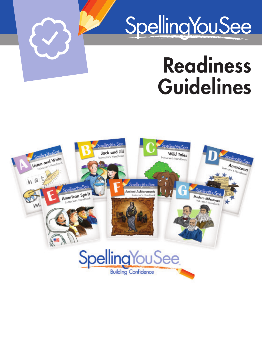# SpellingYouSee

## Readiness Guidelines



 $\bigodot$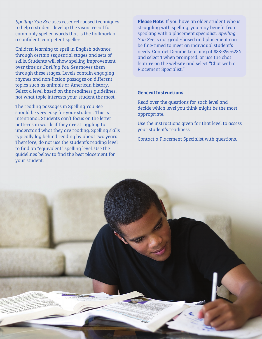*Spelling You See* uses research-based techniques to help a student develop the visual recall for commonly spelled words that is the hallmark of a confident, competent speller.

Children learning to spell in English advance through certain sequential stages and sets of skills. Students will show spelling improvement over time as *Spelling You See* moves them through these stages*.* Levels contain engaging rhymes and non-fiction passages on different topics such as animals or American history. Select a level based on the readiness guidelines, not what topic interests your student the most.

The reading passages in Spelling You See should be very easy for your student. This is intentional. Students can't focus on the letter patterns in words if they are struggling to understand what they are reading. Spelling skills typically lag behind reading by about two years. Therefore, do not use the student's reading level to find an "equivalent" spelling level. Use the guidelines below to find the best placement for your student.

Please Note: If you have an older student who is struggling with spelling, you may benefit from speaking with a placement specialist. *Spelling You See* is not grade-based and placement can be fine-tuned to meet an individual student's needs. Contact Demme Learning at 888-854-6284 and select 1 when prompted, or use the chat feature on the website and select "Chat with a Placement Specialist."

#### General Instructions

Read over the questions for each level and decide which level you think might be the most appropriate.

Use the instructions given for that level to assess your student's readiness.

Contact a Placement Specialist with questions.

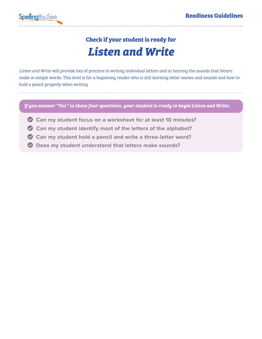### *Listen and Write* **Check if your student is ready for**

*Listen and Write* will provide lots of practice in writing individual letters and in hearing the sounds that letters make in simple words. This level is for a beginning reader who is still learning letter names and sounds and how to hold a pencil properly when writing.

*If you answer "Yes" to these four questions, your student is ready to begin* **Listen and Write***.*

- **Can my student focus on a worksheet for at least 10 minutes?**
- **Can my student identify most of the letters of the alphabet?**
- **Can my student hold a pencil and write a three-letter word?**
- **Does my student understand that letters make sounds?**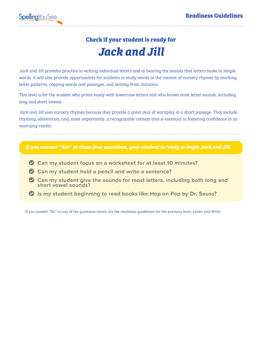### *Jack and Jill* **Check if your student is ready for**

*Jack and Jill* provides practice in writing individual letters and in hearing the sounds that letters make in simple words. It will also provide opportunities for students to study words in the context of nursery rhymes by marking letter patterns, copying words and passages, and writing from dictation.

This level is for the student who prints easily with lowercase letters and who knows most letter sounds, including long and short vowels.

*Jack and Jill* uses nursery rhymes because they provide a great deal of wordplay in a short passage. They include rhyming, alliteration, and, most importantly, a recognizable context that is essential to fostering confidence in an emerging reader.

#### *If you answer "Yes" to these four questions, your student is ready to begin Jack and Jill.*

- **Can my student focus on a worksheet for at least 10 minutes?**
- **Can my student hold a pencil and write a sentence?**
- **Can my student give the sounds for most letters, including both long and short vowel sounds?**
- **Is my student beginning to read books like Hop on Pop by Dr. Seuss?**

If you answer "No" to any of the questions above, try the readiness guidelines for the previous level, *Listen and Write*.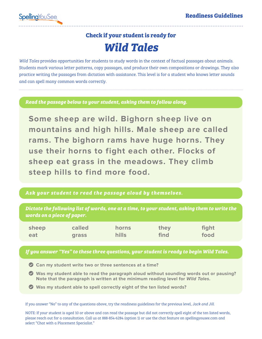### *Wild Tales* **Check if your student is ready for**

*Wild Tales* provides opportunities for students to study words in the context of factual passages about animals. Students mark various letter patterns, copy passages, and produce their own compositions or drawings. They also practice writing the passages from dictation with assistance. This level is for a student who knows letter sounds and can spell many common words correctly.

*Read the passage below to your student, asking them to follow along.*

**Some sheep are wild. Bighorn sheep live on mountains and high hills. Male sheep are called rams. The bighorn rams have huge horns. They use their horns to fight each other. Flocks of sheep eat grass in the meadows. They climb steep hills to find more food.**

### *Ask your student to read the passage aloud by themselves.*

*Dictate the following list of words, one at a time, to your student, asking them to write the words on a piece of paper.*

| sheep | called       | horns        | they | fight |
|-------|--------------|--------------|------|-------|
| eat   | <b>grass</b> | <b>hills</b> | find | food  |

### *If you answer "Yes" to these three questions, your student is ready to begin Wild Tales.*

- **Can my student write two or three sentences at a time?**
- **Was my student able to read the paragraph aloud without sounding words out or pausing? Note that the paragraph is written at the minimum reading level for Wild Tales.**
- **Was my student able to spell correctly eight of the ten listed words?**

If you answer "No" to any of the questions above, try the readiness guidelines for the previous level, *Jack and Jill*.

NOTE: If your student is aged 10 or above and can read the passage but did not correctly spell eight of the ten listed words, please reach out for a consultation. Call us at 888-854-6284 (option 1) or use the chat feature on spellingyousee.com and select "Chat with a Placement Specialist."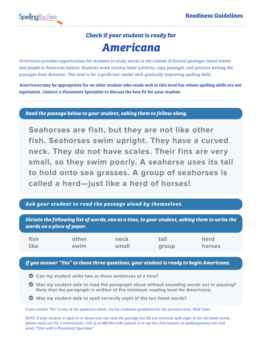### *Americana* **Check if your student is ready for**

*Americana* provides opportunities for students to study words in the context of factual passages about events and people in American history. Students mark various letter patterns, copy passages, and practice writing the passages from dictation. This level is for a proficient reader with gradually improving spelling skills.

*Americana* may be appropriate for an older student who reads well at this level but whose spelling skills are not equivalent. Contact a Placement Specialist to discuss the best fit for your student.

*Read the passage below to your student, asking them to follow along.*

**Seahorses are fish, but they are not like other fish. Seahorses swim upright. They have a curved neck. They do not have scales. Their fins are very small, so they swim poorly. A seahorse uses its tail to hold onto sea grasses. A group of seahorses is called a herd—just like a herd of horses!**

### *Ask your student to read the passage aloud by themselves.*

*Dictate the following list of words, one at a time, to your student, asking them to write the words on a piece of paper.*

| fish | other | neck  | tail  | herd   |
|------|-------|-------|-------|--------|
| like | swim  | small | group | horses |

#### *If you answer "Yes" to these three questions, your student is ready to begin Americana.*

- **Can my student write two or three sentences at a time?**
- **Was my student able to read the paragraph aloud without sounding words out or pausing? Note that the paragraph is written at the minimum reading level for Americana.**
- **Was my student able to spell correctly eight of the ten listed words?**

If you answer "No" to any of the questions above, try the readiness guidelines for the previous level, *Wild Tales*.

NOTE: If your student is aged 10 or above and can read the passage but did not correctly spell eight of the ten listed words, please reach out for a consultation. Call us at 888-854-6284 (option 1) or use the chat feature on spellingyousee.com and select "Chat with a Placement Specialist."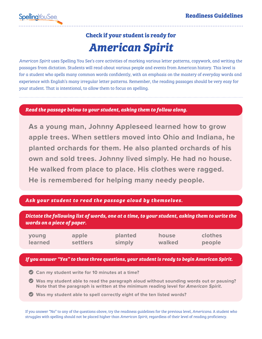### *American Spirit* **Check if your student is ready for**

*American Spirit* uses Spelling You See's core activities of marking various letter patterns, copywork, and writing the passages from dictation. Students will read about various people and events from American history. This level is for a student who spells many common words confidently, with an emphasis on the mastery of everyday words and experience with English's many irregular letter patterns. Remember, the reading passages should be very easy for your student. That is intentional, to allow them to focus on spelling.

*Read the passage below to your student, asking them to follow along.*

**As a young man, Johnny Appleseed learned how to grow apple trees. When settlers moved into Ohio and Indiana, he planted orchards for them. He also planted orchards of his own and sold trees. Johnny lived simply. He had no house. He walked from place to place. His clothes were ragged. He is remembered for helping many needy people.**

### *Ask your student to read the passage aloud by themselves.*

*Dictate the following list of words, one at a time, to your student, asking them to write the words on a piece of paper.* **young learned apple settlers planted simply house walked clothes people**

*If you answer "Yes" to these three questions, your student is ready to begin American Spirit.*

- **Can my student write for 10 minutes at a time?**
- **Was my student able to read the paragraph aloud without sounding words out or pausing? Note that the paragraph is written at the minimum reading level for American Spirit.**
- **Was my student able to spell correctly eight of the ten listed words?**

If you answer "No" to any of the questions above, try the readiness guidelines for the previous level, *Americana*. A student who struggles with spelling should not be placed higher than *American Spirit*, regardless of their level of reading proficiency.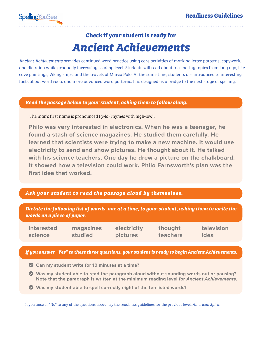### *Ancient Achievements* **Check if your student is ready for**

*Ancient Achievements* provides continued word practice using core activities of marking letter patterns, copywork, and dictation while gradually increasing reading level. Students will read about fascinating topics from long ago, like cave paintings, Viking ships, and the travels of Marco Polo. At the same time, students are introduced to interesting facts about word roots and more advanced word patterns. It is designed as a bridge to the next stage of spelling.

#### *Read the passage below to your student, asking them to follow along.*

The man's first name is pronounced Fy-lo (rhymes with high-low).

**Philo was very interested in electronics. When he was a teenager, he found a stash of science magazines. He studied them carefully. He learned that scientists were trying to make a new machine. It would use electricity to send and show pictures. He thought about it. He talked with his science teachers. One day he drew a picture on the chalkboard. It showed how a television could work. Philo Farnsworth's plan was the first idea that worked.**

### *Ask your student to read the passage aloud by themselves.*

*Dictate the following list of words, one at a time, to your student, asking them to write the words on a piece of paper.*

**interested science**

**magazines studied**

**electricity pictures**

**thought teachers** **television idea**

#### *If you answer "Yes" to these three questions, your student is ready to begin Ancient Achievements.*

- **Can my student write for 10 minutes at a time?**
- **Was my student able to read the paragraph aloud without sounding words out or pausing? Note that the paragraph is written at the minimum reading level for Ancient Achievements.**
- **Was my student able to spell correctly eight of the ten listed words?**

If you answer "No" to any of the questions above, try the readiness guidelines for the previous level, *American Spirit.*